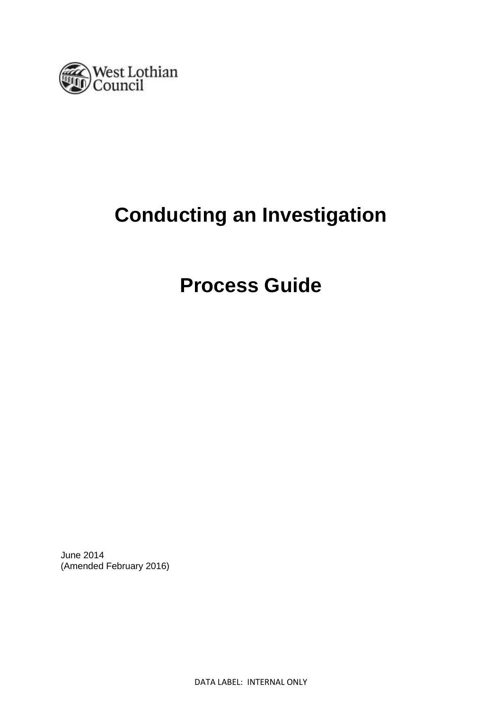

# **Conducting an Investigation**

# **Process Guide**

June 2014 (Amended February 2016)

DATA LABEL: INTERNAL ONLY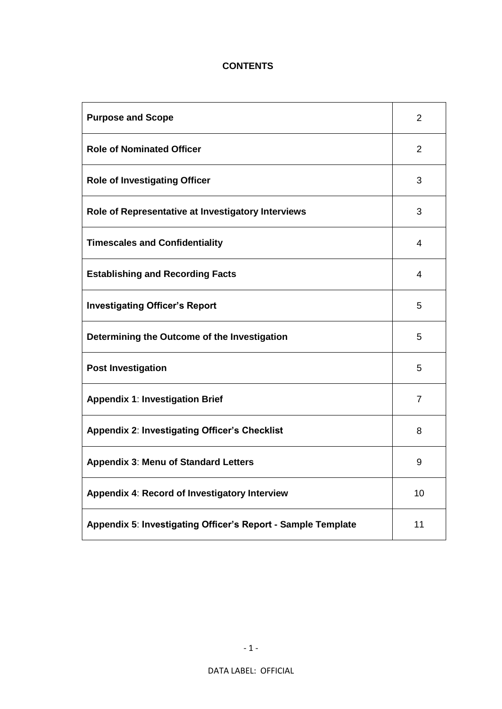## **CONTENTS**

| <b>Purpose and Scope</b>                                     | $\overline{2}$ |
|--------------------------------------------------------------|----------------|
| <b>Role of Nominated Officer</b>                             | 2              |
| <b>Role of Investigating Officer</b>                         | 3              |
| Role of Representative at Investigatory Interviews           | 3              |
| <b>Timescales and Confidentiality</b>                        | 4              |
| <b>Establishing and Recording Facts</b>                      | 4              |
| <b>Investigating Officer's Report</b>                        | 5              |
| Determining the Outcome of the Investigation                 | 5              |
| <b>Post Investigation</b>                                    | 5              |
| <b>Appendix 1: Investigation Brief</b>                       | 7              |
| Appendix 2: Investigating Officer's Checklist                | 8              |
| <b>Appendix 3: Menu of Standard Letters</b>                  | 9              |
| Appendix 4: Record of Investigatory Interview                | 10             |
| Appendix 5: Investigating Officer's Report - Sample Template | 11             |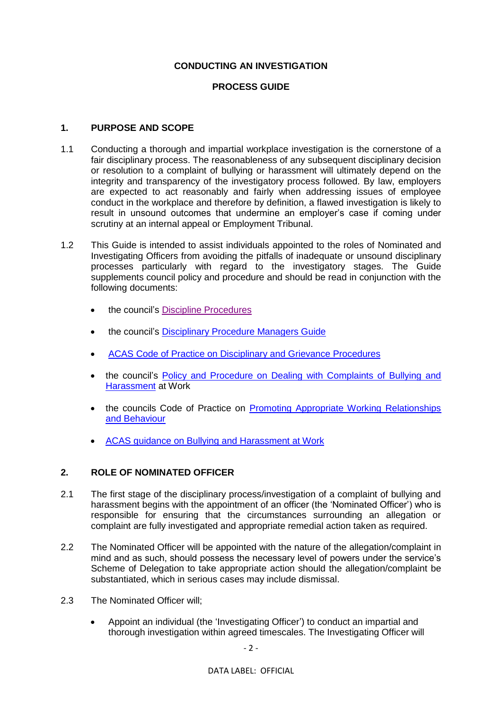### **CONDUCTING AN INVESTIGATION**

## **PROCESS GUIDE**

#### **1. PURPOSE AND SCOPE**

- 1.1 Conducting a thorough and impartial workplace investigation is the cornerstone of a fair disciplinary process. The reasonableness of any subsequent disciplinary decision or resolution to a complaint of bullying or harassment will ultimately depend on the integrity and transparency of the investigatory process followed. By law, employers are expected to act reasonably and fairly when addressing issues of employee conduct in the workplace and therefore by definition, a flawed investigation is likely to result in unsound outcomes that undermine an employer's case if coming under scrutiny at an internal appeal or Employment Tribunal.
- 1.2 This Guide is intended to assist individuals appointed to the roles of Nominated and Investigating Officers from avoiding the pitfalls of inadequate or unsound disciplinary processes particularly with regard to the investigatory stages. The Guide supplements council policy and procedure and should be read in conjunction with the following documents:
	- the council's [Discipline Procedures](https://www.westlothian.gov.uk/article/11800/Discipline)
	- the council's [Disciplinary Procedure Managers Guide](https://www.westlothian.gov.uk/media/1557/Disciplinary-Procedure---Managers-Guide/pdf/DisciplinaryProcedure-ManagersGuide-Feb2015.pdf)
	- [ACAS Code of Practice on Disciplinary and Grievance Procedures](http://www.acas.org.uk/index.aspx?articleid=2174)
	- the council's [Policy and Procedure on Dealing with Complaints of Bullying and](https://www.westlothian.gov.uk/media/28048/Bullying-and-Harassment-Policy-Procedure/pdf/Bullying_and_Harassment_Policy__Procedure_-_3_August_2016_(3)_(1).pdf)  [Harassment](https://www.westlothian.gov.uk/media/28048/Bullying-and-Harassment-Policy-Procedure/pdf/Bullying_and_Harassment_Policy__Procedure_-_3_August_2016_(3)_(1).pdf) at Work
	- the councils Code of Practice on [Promoting Appropriate Working Relationships](https://www.westlothian.gov.uk/media/1551/Promoting-Appropriate-Working---Relationship-and-Behaviour/pdf/BullyingAndHarassmentCodeOfPractice-3August2016.pdf)  [and Behaviour](https://www.westlothian.gov.uk/media/1551/Promoting-Appropriate-Working---Relationship-and-Behaviour/pdf/BullyingAndHarassmentCodeOfPractice-3August2016.pdf)
	- [ACAS guidance on Bullying and Harassment at Work](http://www.acas.org.uk/index.aspx?articleid=1864)

## **2. ROLE OF NOMINATED OFFICER**

- 2.1 The first stage of the disciplinary process/investigation of a complaint of bullying and harassment begins with the appointment of an officer (the 'Nominated Officer') who is responsible for ensuring that the circumstances surrounding an allegation or complaint are fully investigated and appropriate remedial action taken as required.
- 2.2 The Nominated Officer will be appointed with the nature of the allegation/complaint in mind and as such, should possess the necessary level of powers under the service's Scheme of Delegation to take appropriate action should the allegation/complaint be substantiated, which in serious cases may include dismissal.
- 2.3 The Nominated Officer will;
	- Appoint an individual (the 'Investigating Officer') to conduct an impartial and thorough investigation within agreed timescales. The Investigating Officer will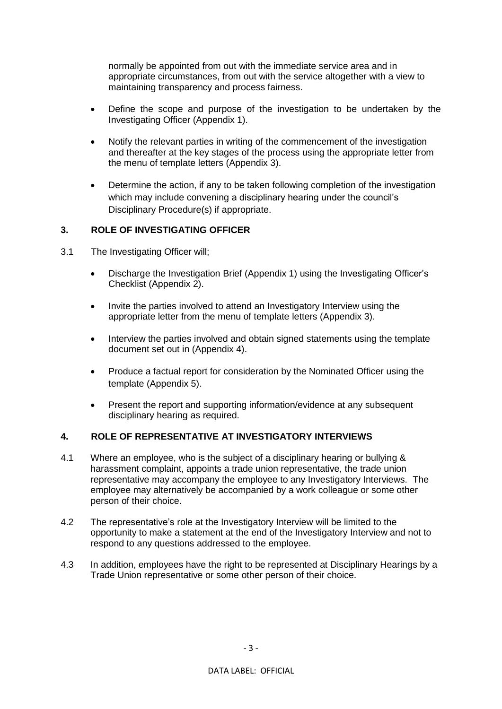normally be appointed from out with the immediate service area and in appropriate circumstances, from out with the service altogether with a view to maintaining transparency and process fairness.

- Define the scope and purpose of the investigation to be undertaken by the Investigating Officer (Appendix 1).
- Notify the relevant parties in writing of the commencement of the investigation and thereafter at the key stages of the process using the appropriate letter from the menu of template letters (Appendix 3).
- Determine the action, if any to be taken following completion of the investigation which may include convening a disciplinary hearing under the council's Disciplinary Procedure(s) if appropriate.

#### **3. ROLE OF INVESTIGATING OFFICER**

- 3.1 The Investigating Officer will;
	- Discharge the Investigation Brief (Appendix 1) using the Investigating Officer's Checklist (Appendix 2).
	- Invite the parties involved to attend an Investigatory Interview using the appropriate letter from the menu of template letters (Appendix 3).
	- Interview the parties involved and obtain signed statements using the template document set out in (Appendix 4).
	- Produce a factual report for consideration by the Nominated Officer using the template (Appendix 5).
	- Present the report and supporting information/evidence at any subsequent disciplinary hearing as required.

#### **4. ROLE OF REPRESENTATIVE AT INVESTIGATORY INTERVIEWS**

- 4.1 Where an employee, who is the subject of a disciplinary hearing or bullying & harassment complaint, appoints a trade union representative, the trade union representative may accompany the employee to any Investigatory Interviews. The employee may alternatively be accompanied by a work colleague or some other person of their choice.
- 4.2 The representative's role at the Investigatory Interview will be limited to the opportunity to make a statement at the end of the Investigatory Interview and not to respond to any questions addressed to the employee.
- 4.3 In addition, employees have the right to be represented at Disciplinary Hearings by a Trade Union representative or some other person of their choice.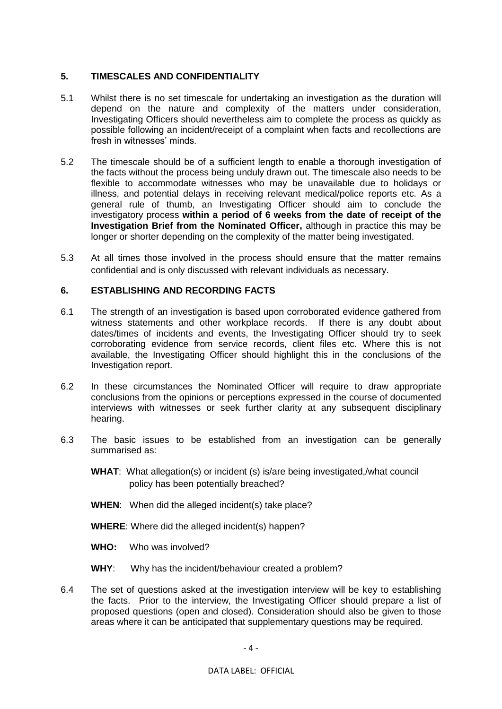#### **5. TIMESCALES AND CONFIDENTIALITY**

- 5.1 Whilst there is no set timescale for undertaking an investigation as the duration will depend on the nature and complexity of the matters under consideration, Investigating Officers should nevertheless aim to complete the process as quickly as possible following an incident/receipt of a complaint when facts and recollections are fresh in witnesses' minds.
- 5.2 The timescale should be of a sufficient length to enable a thorough investigation of the facts without the process being unduly drawn out. The timescale also needs to be flexible to accommodate witnesses who may be unavailable due to holidays or illness, and potential delays in receiving relevant medical/police reports etc. As a general rule of thumb, an Investigating Officer should aim to conclude the investigatory process **within a period of 6 weeks from the date of receipt of the Investigation Brief from the Nominated Officer,** although in practice this may be longer or shorter depending on the complexity of the matter being investigated.
- 5.3 At all times those involved in the process should ensure that the matter remains confidential and is only discussed with relevant individuals as necessary.

#### **6. ESTABLISHING AND RECORDING FACTS**

- 6.1 The strength of an investigation is based upon corroborated evidence gathered from witness statements and other workplace records. If there is any doubt about dates/times of incidents and events, the Investigating Officer should try to seek corroborating evidence from service records, client files etc. Where this is not available, the Investigating Officer should highlight this in the conclusions of the Investigation report.
- 6.2 In these circumstances the Nominated Officer will require to draw appropriate conclusions from the opinions or perceptions expressed in the course of documented interviews with witnesses or seek further clarity at any subsequent disciplinary hearing.
- 6.3 The basic issues to be established from an investigation can be generally summarised as:
	- **WHAT**: What allegation(s) or incident (s) is/are being investigated,/what council policy has been potentially breached?
	- **WHEN:** When did the alleged incident(s) take place?
	- **WHERE**: Where did the alleged incident(s) happen?
	- **WHO:** Who was involved?
	- **WHY**: Why has the incident/behaviour created a problem?
- 6.4 The set of questions asked at the investigation interview will be key to establishing the facts. Prior to the interview, the Investigating Officer should prepare a list of proposed questions (open and closed). Consideration should also be given to those areas where it can be anticipated that supplementary questions may be required.

#### DATA LABEL: OFFICIAL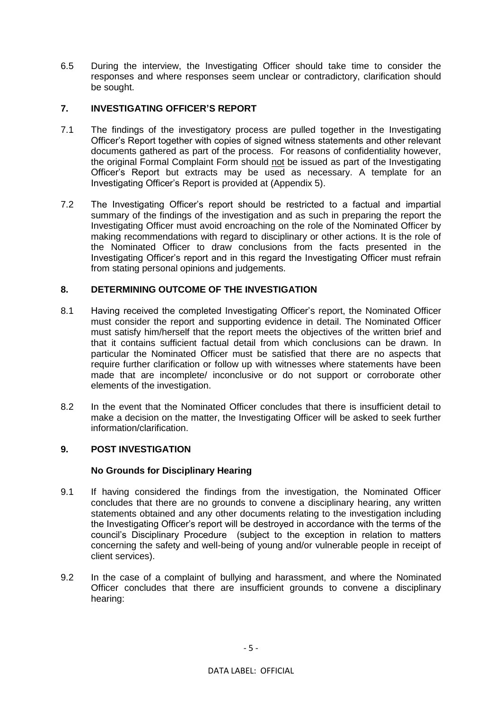6.5 During the interview, the Investigating Officer should take time to consider the responses and where responses seem unclear or contradictory, clarification should be sought.

## **7. INVESTIGATING OFFICER'S REPORT**

- 7.1 The findings of the investigatory process are pulled together in the Investigating Officer's Report together with copies of signed witness statements and other relevant documents gathered as part of the process. For reasons of confidentiality however, the original Formal Complaint Form should not be issued as part of the Investigating Officer's Report but extracts may be used as necessary. A template for an Investigating Officer's Report is provided at (Appendix 5).
- 7.2 The Investigating Officer's report should be restricted to a factual and impartial summary of the findings of the investigation and as such in preparing the report the Investigating Officer must avoid encroaching on the role of the Nominated Officer by making recommendations with regard to disciplinary or other actions. It is the role of the Nominated Officer to draw conclusions from the facts presented in the Investigating Officer's report and in this regard the Investigating Officer must refrain from stating personal opinions and judgements.

## **8. DETERMINING OUTCOME OF THE INVESTIGATION**

- 8.1 Having received the completed Investigating Officer's report, the Nominated Officer must consider the report and supporting evidence in detail. The Nominated Officer must satisfy him/herself that the report meets the objectives of the written brief and that it contains sufficient factual detail from which conclusions can be drawn. In particular the Nominated Officer must be satisfied that there are no aspects that require further clarification or follow up with witnesses where statements have been made that are incomplete/ inconclusive or do not support or corroborate other elements of the investigation.
- 8.2 In the event that the Nominated Officer concludes that there is insufficient detail to make a decision on the matter, the Investigating Officer will be asked to seek further information/clarification.

#### **9. POST INVESTIGATION**

#### **No Grounds for Disciplinary Hearing**

- 9.1 If having considered the findings from the investigation, the Nominated Officer concludes that there are no grounds to convene a disciplinary hearing, any written statements obtained and any other documents relating to the investigation including the Investigating Officer's report will be destroyed in accordance with the terms of the council's Disciplinary Procedure (subject to the exception in relation to matters concerning the safety and well-being of young and/or vulnerable people in receipt of client services).
- 9.2 In the case of a complaint of bullying and harassment, and where the Nominated Officer concludes that there are insufficient grounds to convene a disciplinary hearing: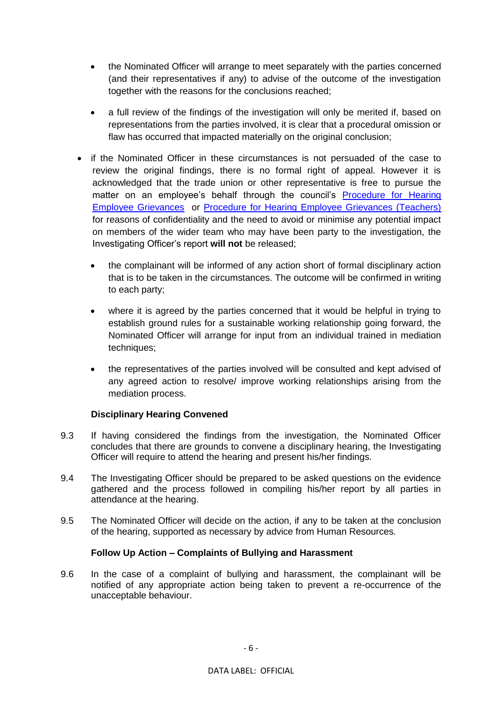- the Nominated Officer will arrange to meet separately with the parties concerned (and their representatives if any) to advise of the outcome of the investigation together with the reasons for the conclusions reached;
- a full review of the findings of the investigation will only be merited if, based on representations from the parties involved, it is clear that a procedural omission or flaw has occurred that impacted materially on the original conclusion;
- if the Nominated Officer in these circumstances is not persuaded of the case to review the original findings, there is no formal right of appeal. However it is acknowledged that the trade union or other representative is free to pursue the matter on an employee's behalf through the council's [Procedure for Hearing](https://www.westlothian.gov.uk/media/28447/Procedure-for-Hearing-Employee-Grievances-Non-Teaching/pdf/GrievanceProcedure_(non-teaching).pdf)  [Employee Grievances](https://www.westlothian.gov.uk/media/28447/Procedure-for-Hearing-Employee-Grievances-Non-Teaching/pdf/GrievanceProcedure_(non-teaching).pdf) or [Procedure for Hearing Employee Grievances \(Teachers\)](https://www.westlothian.gov.uk/media/28448/Procedure-for-Hearing-Teachers-Grievances/pdf/GrievanceProcedure_Teachers.pdf) for reasons of confidentiality and the need to avoid or minimise any potential impact on members of the wider team who may have been party to the investigation, the Investigating Officer's report **will not** be released;
	- the complainant will be informed of any action short of formal disciplinary action that is to be taken in the circumstances. The outcome will be confirmed in writing to each party;
	- where it is agreed by the parties concerned that it would be helpful in trying to establish ground rules for a sustainable working relationship going forward, the Nominated Officer will arrange for input from an individual trained in mediation techniques:
	- the representatives of the parties involved will be consulted and kept advised of any agreed action to resolve/ improve working relationships arising from the mediation process.

#### **Disciplinary Hearing Convened**

- 9.3 If having considered the findings from the investigation, the Nominated Officer concludes that there are grounds to convene a disciplinary hearing, the Investigating Officer will require to attend the hearing and present his/her findings.
- 9.4 The Investigating Officer should be prepared to be asked questions on the evidence gathered and the process followed in compiling his/her report by all parties in attendance at the hearing.
- 9.5 The Nominated Officer will decide on the action, if any to be taken at the conclusion of the hearing, supported as necessary by advice from Human Resources.

#### **Follow Up Action – Complaints of Bullying and Harassment**

9.6 In the case of a complaint of bullying and harassment, the complainant will be notified of any appropriate action being taken to prevent a re-occurrence of the unacceptable behaviour.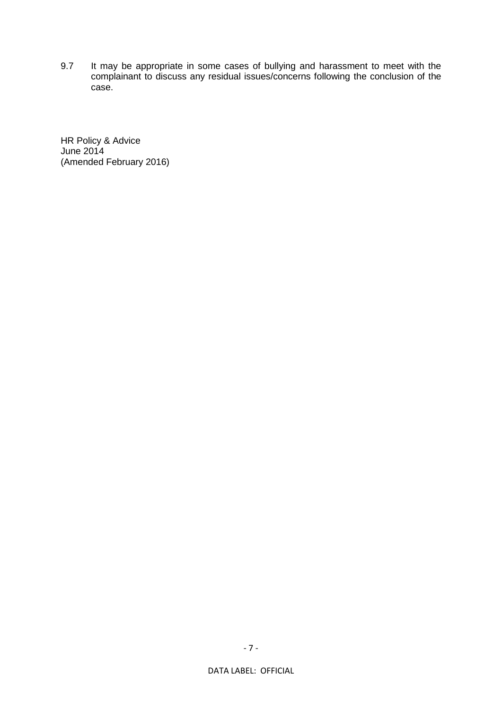9.7 It may be appropriate in some cases of bullying and harassment to meet with the complainant to discuss any residual issues/concerns following the conclusion of the case.

HR Policy & Advice June 2014 (Amended February 2016)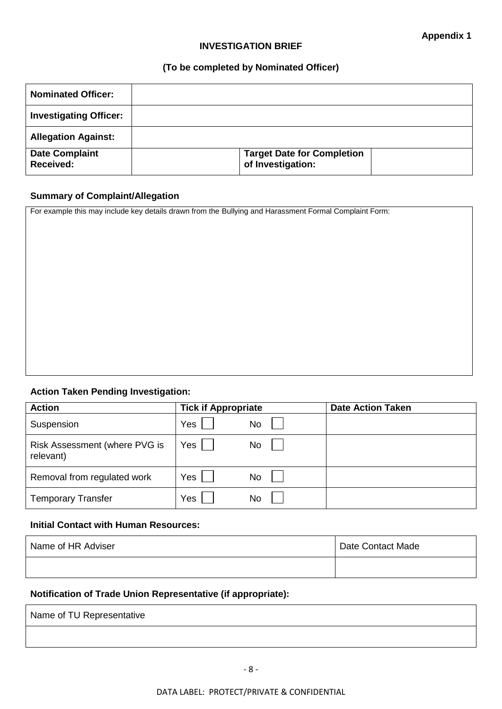#### **INVESTIGATION BRIEF**

#### **(To be completed by Nominated Officer)**

| <b>Nominated Officer:</b>          |                                                        |  |
|------------------------------------|--------------------------------------------------------|--|
| <b>Investigating Officer:</b>      |                                                        |  |
| <b>Allegation Against:</b>         |                                                        |  |
| <b>Date Complaint</b><br>Received: | <b>Target Date for Completion</b><br>of Investigation: |  |

#### **Summary of Complaint/Allegation**

For example this may include key details drawn from the Bullying and Harassment Formal Complaint Form:

## **Action Taken Pending Investigation:**

| <b>Action</b>                              | <b>Tick if Appropriate</b> | <b>Date Action Taken</b> |
|--------------------------------------------|----------------------------|--------------------------|
| Suspension                                 | Yes<br>No                  |                          |
| Risk Assessment (where PVG is<br>relevant) | Yes<br>No                  |                          |
| Removal from regulated work                | Yes<br>No                  |                          |
| <b>Temporary Transfer</b>                  | Yes<br>No                  |                          |

#### **Initial Contact with Human Resources:**

| Name of HR Adviser | Date Contact Made |
|--------------------|-------------------|
|                    |                   |

## **Notification of Trade Union Representative (if appropriate):**

| Name of TU Representative |  |
|---------------------------|--|
|                           |  |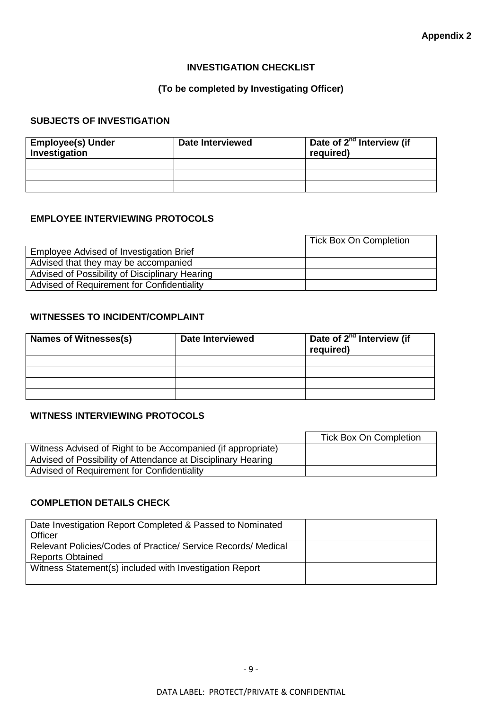#### **INVESTIGATION CHECKLIST**

## **(To be completed by Investigating Officer)**

## **SUBJECTS OF INVESTIGATION**

| <b>Employee(s) Under</b><br>Investigation | <b>Date Interviewed</b> | Date of 2 <sup>nd</sup> Interview (if<br>required) |
|-------------------------------------------|-------------------------|----------------------------------------------------|
|                                           |                         |                                                    |
|                                           |                         |                                                    |
|                                           |                         |                                                    |

## **EMPLOYEE INTERVIEWING PROTOCOLS**

|                                                | <b>Tick Box On Completion</b> |
|------------------------------------------------|-------------------------------|
| Employee Advised of Investigation Brief        |                               |
| Advised that they may be accompanied           |                               |
| Advised of Possibility of Disciplinary Hearing |                               |
| Advised of Requirement for Confidentiality     |                               |

## **WITNESSES TO INCIDENT/COMPLAINT**

| Names of Witnesses(s) | <b>Date Interviewed</b> | Date of 2 <sup>nd</sup> Interview (if<br>required) |
|-----------------------|-------------------------|----------------------------------------------------|
|                       |                         |                                                    |
|                       |                         |                                                    |
|                       |                         |                                                    |
|                       |                         |                                                    |

## **WITNESS INTERVIEWING PROTOCOLS**

|                                                              | <b>Tick Box On Completion</b> |
|--------------------------------------------------------------|-------------------------------|
| Witness Advised of Right to be Accompanied (if appropriate)  |                               |
| Advised of Possibility of Attendance at Disciplinary Hearing |                               |
| Advised of Requirement for Confidentiality                   |                               |

## **COMPLETION DETAILS CHECK**

| Date Investigation Report Completed & Passed to Nominated     |  |
|---------------------------------------------------------------|--|
| Officer                                                       |  |
| Relevant Policies/Codes of Practice/ Service Records/ Medical |  |
| <b>Reports Obtained</b>                                       |  |
| Witness Statement(s) included with Investigation Report       |  |
|                                                               |  |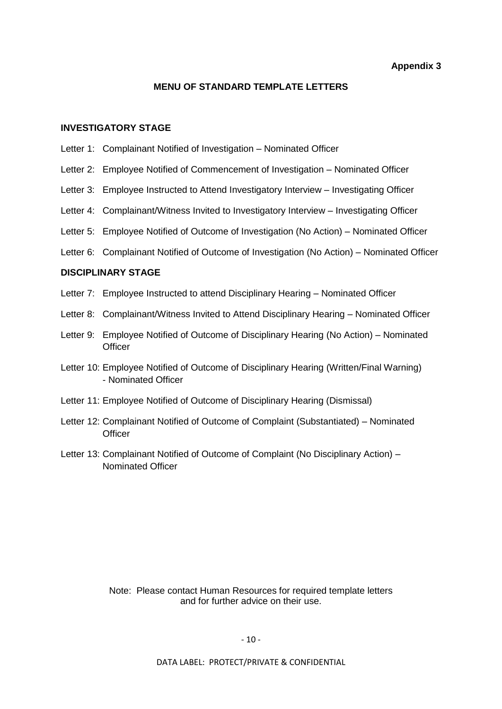**Appendix 3**

#### **MENU OF STANDARD TEMPLATE LETTERS**

#### **INVESTIGATORY STAGE**

- Letter 1: Complainant Notified of Investigation Nominated Officer
- Letter 2: Employee Notified of Commencement of Investigation Nominated Officer
- Letter 3: Employee Instructed to Attend Investigatory Interview Investigating Officer
- Letter 4: Complainant/Witness Invited to Investigatory Interview Investigating Officer
- Letter 5: Employee Notified of Outcome of Investigation (No Action) Nominated Officer
- Letter 6: Complainant Notified of Outcome of Investigation (No Action) Nominated Officer

#### **DISCIPLINARY STAGE**

- Letter 7: Employee Instructed to attend Disciplinary Hearing Nominated Officer
- Letter 8: Complainant/Witness Invited to Attend Disciplinary Hearing Nominated Officer
- Letter 9: Employee Notified of Outcome of Disciplinary Hearing (No Action) Nominated **Officer**
- Letter 10: Employee Notified of Outcome of Disciplinary Hearing (Written/Final Warning) - Nominated Officer
- Letter 11: Employee Notified of Outcome of Disciplinary Hearing (Dismissal)
- Letter 12: Complainant Notified of Outcome of Complaint (Substantiated) Nominated **Officer**
- Letter 13: Complainant Notified of Outcome of Complaint (No Disciplinary Action) Nominated Officer

Note: Please contact Human Resources for required template letters and for further advice on their use.

- 10 -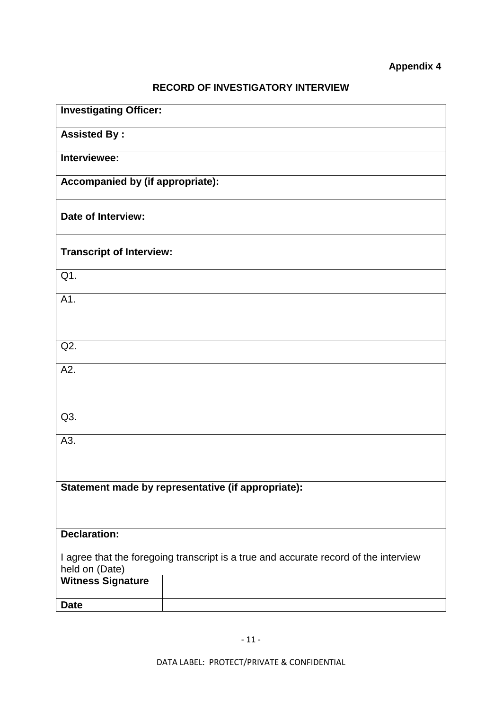# **Appendix 4**

# **RECORD OF INVESTIGATORY INTERVIEW**

| <b>Investigating Officer:</b>                                                                          |  |
|--------------------------------------------------------------------------------------------------------|--|
| <b>Assisted By:</b>                                                                                    |  |
| Interviewee:                                                                                           |  |
| Accompanied by (if appropriate):                                                                       |  |
| Date of Interview:                                                                                     |  |
| <b>Transcript of Interview:</b>                                                                        |  |
| Q1.                                                                                                    |  |
| A1.                                                                                                    |  |
|                                                                                                        |  |
| Q2.                                                                                                    |  |
| A2.                                                                                                    |  |
|                                                                                                        |  |
| Q3.                                                                                                    |  |
| A3.                                                                                                    |  |
|                                                                                                        |  |
| Statement made by representative (if appropriate):                                                     |  |
|                                                                                                        |  |
| <b>Declaration:</b>                                                                                    |  |
| I agree that the foregoing transcript is a true and accurate record of the interview<br>held on (Date) |  |
| <b>Witness Signature</b>                                                                               |  |
| <b>Date</b>                                                                                            |  |